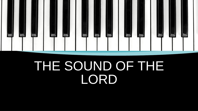

# THE SOUND OF THE LORD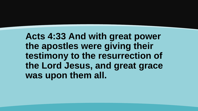**Acts 4:33 And with great power the apostles were giving their testimony to the resurrection of the Lord Jesus, and great grace was upon them all.**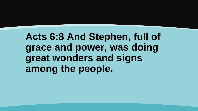# **Acts 6:8 And Stephen, full of grace and power, was doing great wonders and signs among the people.**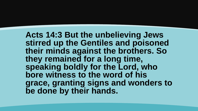**Acts 14:3 But the unbelieving Jews stirred up the Gentiles and poisoned their minds against the brothers. So they remained for a long time, speaking boldly for the Lord, who bore witness to the word of his grace, granting signs and wonders to be done by their hands.**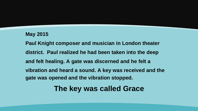#### **May 2015**

**Paul Knight composer and musician in London theater district. Paul realized he had been taken into the deep and felt healing. A gate was discerned and he felt a vibration and heard a sound. A key was received and the gate was opened and the vibration stopped.** 

## **The key was called Grace**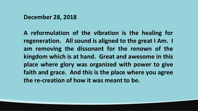### **December 28, 2018**

**A reformulation of the vibration is the healing for regeneration. All sound is aligned to the great I Am. I am removing the dissonant for the renown of the kingdom which is at hand. Great and awesome in this place where glory was organized with power to give faith and grace. And this is the place where you agree the re-creation of how it was meant to be.**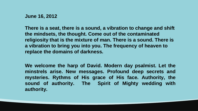**June 16, 2012**

**There is a seat, there is a sound, a vibration to change and shift the mindsets, the thought. Come out of the contaminated religiosity that is the mixture of man. There is a sound. There is a vibration to bring you into you. The frequency of heaven to replace the domains of darkness.** 

**We welcome the harp of David. Modern day psalmist. Let the minstrels arise. New messages. Profound deep secrets and mysteries. Rythms of His grace of His face. Authority, the sound of authority. The Spirit of Mighty wedding with authority.**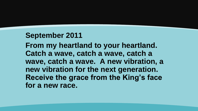## **September 2011**

**From my heartland to your heartland. Catch a wave, catch a wave, catch a wave, catch a wave. A new vibration, a new vibration for the next generation. Receive the grace from the King's face for a new race.**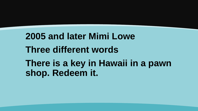**2005 and later Mimi Lowe Three different words There is a key in Hawaii in a pawn shop. Redeem it.**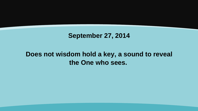### **September 27, 2014**

## **Does not wisdom hold a key, a sound to reveal the One who sees.**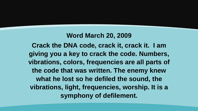### **Word March 20, 2009**

**Crack the DNA code, crack it, crack it. I am giving you a key to crack the code. Numbers, vibrations, colors, frequencies are all parts of the code that was written. The enemy knew what he lost so he defiled the sound, the vibrations, light, frequencies, worship. It is a symphony of defilement.**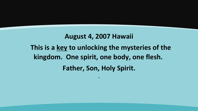**August 4, 2007 Hawaii This is a key to unlocking the mysteries of the kingdom. One spirit, one body, one flesh. Father, Son, Holy Spirit.**

**.**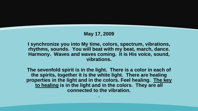#### **May 17, 2009**

**I synchronize you into My time, colors, spectrum, vibrations, rhythms, sounds. You will beat with my beat, march, dance. Harmony. Waves and waves coming. It is His voice, sound, vibrations.** 

**The sevenfold spirit is in the light. There is a color in each of the spirits, together it is the white light. There are healing properties in the light and in the colors. Feel healing. The key to healing is in the light and in the colors. They are all connected to the vibration.**

**.**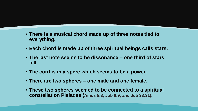- **There is a musical chord made up of three notes tied to everything.**
- **Each chord is made up of three spiritual beings calls stars.**
- **The last note seems to be dissonance – one third of stars fell.**
- **The cord is in a spere which seems to be a power.**
- **There are two spheres – one male and one female.**
- **These two spheres seemed to be connected to a spiritual constellation Pleiades (Amos 5:8; Job 9:9; and Job 38:31).**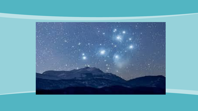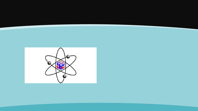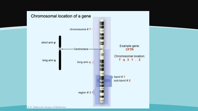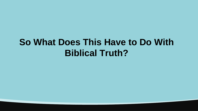## **So What Does This Have to Do With Biblical Truth?**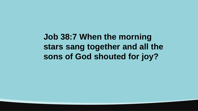**Job 38:7 When the morning stars sang together and all the sons of God shouted for joy?**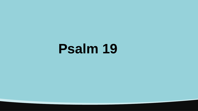# **Psalm 19**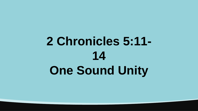# **2 Chronicles 5:11- 14 One Sound Unity**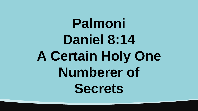**Palmoni Daniel 8:14 A Certain Holy One Numberer of Secrets**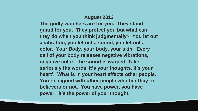#### **August 2013**

**The godly watchers are for you. They stand guard for you. They protect you but what can they do when you think judgmentally? You let out a vibration, you let out a sound, you let out a color. Your Body, your body, your skin. Every cell of your body releases negative vibrations, negative color. the sound is warped. Take seriously the words. It's your thoughts, it's your heart'. What is in your heart affects other people. You're aligned with other people whether they're believers or not. You have power, you have power. It's the power of your thought.**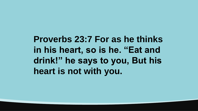**Proverbs 23:7 For as he thinks in his heart, so is he. "Eat and drink!" he says to you, But his heart is not with you.**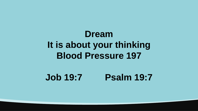# **Dream It is about your thinking Blood Pressure 197**

## **Job 19:7 Psalm 19:7**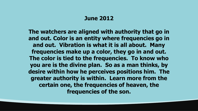### **June 2012**

**The watchers are aligned with authority that go in and out. Color is an entity where frequencies go in and out. Vibration is what it is all about. Many frequencies make up a color, they go in and out. The color is tied to the frequencies. To know who you are is the divine plan. So as a man thinks, by desire within how he perceives positions him. The greater authority is within. Learn more from the certain one, the frequencies of heaven, the frequencies of the son.**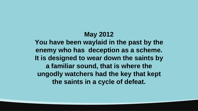### **May 2012**

**You have been waylaid in the past by the enemy who has deception as a scheme. It is designed to wear down the saints by a familiar sound, that is where the ungodly watchers had the key that kept the saints in a cycle of defeat.**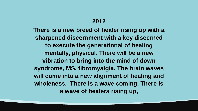### **2012**

**There is a new breed of healer rising up with a sharpened discernment with a key discerned to execute the generational of healing mentally, physical. There will be a new vibration to bring into the mind of down syndrome, MS, fibromyalgia. The brain waves will come into a new alignment of healing and wholeness. There is a wave coming. There is a wave of healers rising up,**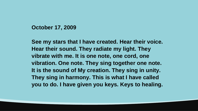### **October 17, 2009**

**See my stars that I have created. Hear their voice. Hear their sound. They radiate my light. They vibrate with me. It is one note, one cord, one vibration. One note. They sing together one note. It is the sound of My creation. They sing in unity. They sing in harmony. This is what I have called you to do. I have given you keys. Keys to healing.**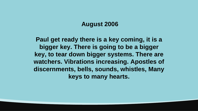### **August 2006**

**Paul get ready there is a key coming, it is a bigger key. There is going to be a bigger key, to tear down bigger systems. There are watchers. Vibrations increasing. Apostles of discernments, bells, sounds, whistles, Many keys to many hearts.**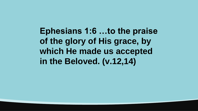**Ephesians 1:6 …to the praise of the glory of His grace, by which He made us accepted in the Beloved. (v.12,14)**